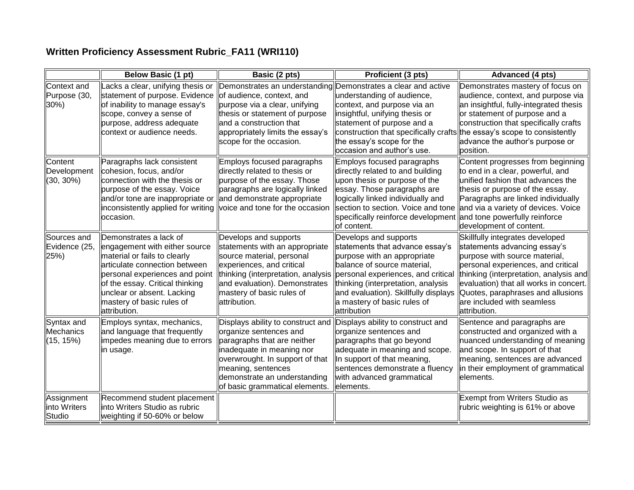## **Written Proficiency Assessment Rubric\_FA11 (WRI110)**

|                                        | <b>Below Basic (1 pt)</b>                                                                                                                                                                                                                                                | Basic (2 pts)                                                                                                                                                                                                                                      | Proficient (3 pts)                                                                                                                                                                                                                                                                                                                | Advanced (4 pts)                                                                                                                                                                                                                                                                                              |
|----------------------------------------|--------------------------------------------------------------------------------------------------------------------------------------------------------------------------------------------------------------------------------------------------------------------------|----------------------------------------------------------------------------------------------------------------------------------------------------------------------------------------------------------------------------------------------------|-----------------------------------------------------------------------------------------------------------------------------------------------------------------------------------------------------------------------------------------------------------------------------------------------------------------------------------|---------------------------------------------------------------------------------------------------------------------------------------------------------------------------------------------------------------------------------------------------------------------------------------------------------------|
| Context and<br>Purpose (30,<br>30%)    | Lacks a clear, unifying thesis or<br>statement of purpose. Evidence<br>of inability to manage essay's<br>scope, convey a sense of<br>purpose, address adequate<br>context or audience needs.                                                                             | of audience, context, and<br>purpose via a clear, unifying<br>thesis or statement of purpose<br>and a construction that<br>appropriately limits the essay's<br>scope for the occasion.                                                             | Demonstrates an understanding Demonstrates a clear and active<br>understanding of audience,<br>context, and purpose via an<br>linsightful, unifying thesis or<br>statement of purpose and a<br>construction that specifically crafts the essay's scope to consistently<br>the essay's scope for the<br>occasion and author's use. | Demonstrates mastery of focus on<br>audience, context, and purpose via<br>an insightful, fully-integrated thesis<br>or statement of purpose and a<br>construction that specifically crafts<br>advance the author's purpose or<br>position.                                                                    |
| Content<br>Development<br>$(30, 30\%)$ | Paragraphs lack consistent<br>cohesion, focus, and/or<br>connection with the thesis or<br>purpose of the essay. Voice<br>and/or tone are inappropriate or<br>inconsistently applied for writing voice and tone for the occasion<br>occasion.                             | Employs focused paragraphs<br>directly related to thesis or<br>purpose of the essay. Those<br>paragraphs are logically linked<br>and demonstrate appropriate                                                                                       | Employs focused paragraphs<br>directly related to and building<br>upon thesis or purpose of the<br>essay. Those paragraphs are<br>logically linked individually and<br>section to section. Voice and tone<br>specifically reinforce development<br>of content.                                                                    | Content progresses from beginning<br>to end in a clear, powerful, and<br>unified fashion that advances the<br>thesis or purpose of the essay.<br>Paragraphs are linked individually<br>and via a variety of devices. Voice<br>and tone powerfully reinforce<br>development of content.                        |
| Sources and<br>Evidence (25,<br>25%)   | Demonstrates a lack of<br>engagement with either source<br>material or fails to clearly<br>articulate connection between<br>personal experiences and point<br>of the essay. Critical thinking<br>unclear or absent. Lacking<br>mastery of basic rules of<br>attribution. | Develops and supports<br>statements with an appropriate<br>source material, personal<br>experiences, and critical<br>and evaluation). Demonstrates<br>mastery of basic rules of<br>attribution.                                                    | Develops and supports<br>statements that advance essay's<br>purpose with an appropriate<br>balance of source material,<br>thinking (interpretation, analysis personal experiences, and critical<br>thinking (interpretation, analysis<br>and evaluation). Skillfully displays<br>a mastery of basic rules of<br>attribution       | Skillfully integrates developed<br>statements advancing essay's<br>purpose with source material,<br>personal experiences, and critical<br>thinking (interpretation, analysis and<br>evaluation) that all works in concert.<br>Quotes, paraphrases and allusions<br>are included with seamless<br>attribution. |
| Syntax and<br>Mechanics<br>(15, 15%)   | Employs syntax, mechanics,<br>and language that frequently<br>impedes meaning due to errors<br>in usage.                                                                                                                                                                 | Displays ability to construct and<br>organize sentences and<br>paragraphs that are neither<br>inadequate in meaning nor<br>overwrought. In support of that<br>meaning, sentences<br>demonstrate an understanding<br>of basic grammatical elements. | Displays ability to construct and<br>organize sentences and<br>paragraphs that go beyond<br>adequate in meaning and scope.<br>In support of that meaning,<br>sentences demonstrate a fluency<br>with advanced grammatical<br>elements.                                                                                            | Sentence and paragraphs are<br>constructed and organized with a<br>nuanced understanding of meaning<br>and scope. In support of that<br>meaning, sentences are advanced<br>in their employment of grammatical<br>elements.                                                                                    |
| Assignment<br>into Writers<br>Studio   | Recommend student placement<br>into Writers Studio as rubric<br>weighting if 50-60% or below                                                                                                                                                                             |                                                                                                                                                                                                                                                    |                                                                                                                                                                                                                                                                                                                                   | <b>Exempt from Writers Studio as</b><br>rubric weighting is 61% or above                                                                                                                                                                                                                                      |